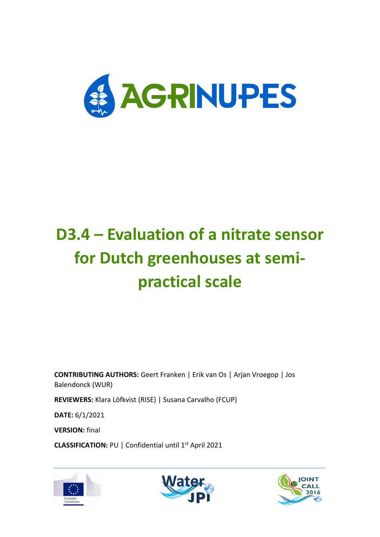

# **D3.4 – Evaluation of a nitrate sensor for Dutch greenhouses at semipractical scale**

**CONTRIBUTING AUTHORS:** Geert Franken | Erik van Os | Arjan Vroegop | Jos Balendonck (WUR)

**REVIEWERS:** Klara Löfkvist (RISE) | Susana Carvalho (FCUP)

**DATE:** 6/1/2021

**VERSION:** final

**CLASSIFICATION:** PU | Confidential until 1st April 2021





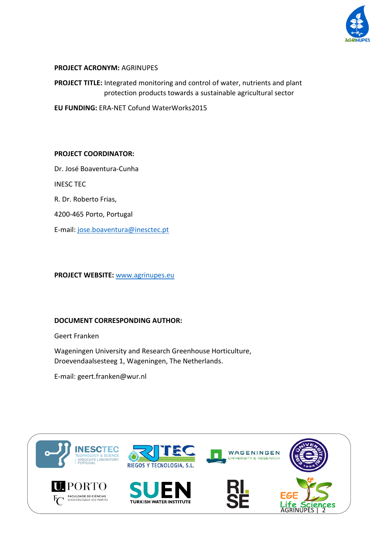

#### **PROJECT ACRONYM:** AGRINUPES

**PROJECT TITLE:** Integrated monitoring and control of water, nutrients and plant protection products towards a sustainable agricultural sector

**EU FUNDING:** ERA-NET Cofund WaterWorks2015

#### **PROJECT COORDINATOR:**

Dr. José Boaventura-Cunha

INESC TEC

R. Dr. Roberto Frias,

4200-465 Porto, Portugal

E-mail: [jose.boaventura@inesctec.pt](mailto:jose.boaventura@inesctec.pt)

**PROJECT WEBSITE:** [www.agrinupes.eu](http://www.agrinupes.eu/)

#### **DOCUMENT CORRESPONDING AUTHOR:**

Geert Franken

Wageningen University and Research Greenhouse Horticulture, Droevendaalsesteeg 1, Wageningen, The Netherlands.

E-mail: geert.franken@wur.nl

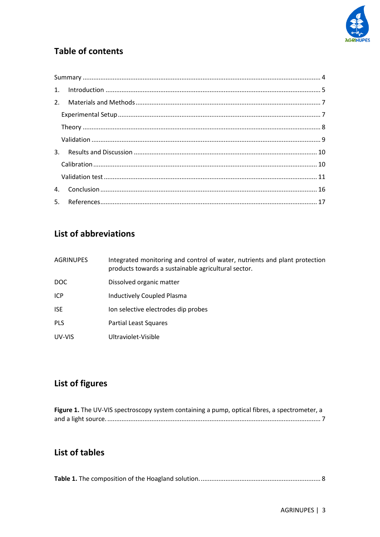

# **Table of contents**

## List of abbreviations

| <b>AGRINUPES</b> | Integrated monitoring and control of water, nutrients and plant protection<br>products towards a sustainable agricultural sector. |
|------------------|-----------------------------------------------------------------------------------------------------------------------------------|
| DOC.             | Dissolved organic matter                                                                                                          |
| <b>ICP</b>       | Inductively Coupled Plasma                                                                                                        |
| <b>ISE</b>       | lon selective electrodes dip probes                                                                                               |
| <b>PLS</b>       | Partial Least Squares                                                                                                             |
| UV-VIS           | Ultraviolet-Visible                                                                                                               |

# List of figures

| Figure 1. The UV-VIS spectroscopy system containing a pump, optical fibres, a spectrometer, a |  |
|-----------------------------------------------------------------------------------------------|--|
|                                                                                               |  |

# List of tables

|--|--|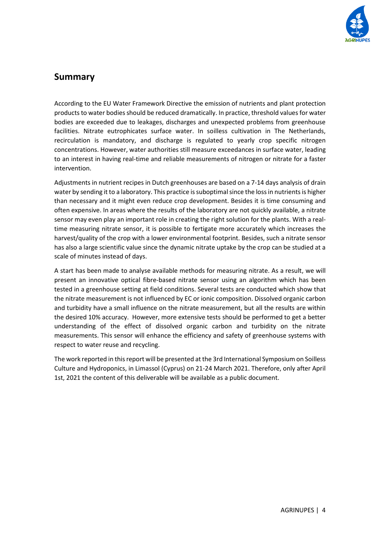

## <span id="page-3-0"></span>**Summary**

According to the EU Water Framework Directive the emission of nutrients and plant protection products to water bodies should be reduced dramatically. In practice, threshold values for water bodies are exceeded due to leakages, discharges and unexpected problems from greenhouse facilities. Nitrate eutrophicates surface water. In soilless cultivation in The Netherlands, recirculation is mandatory, and discharge is regulated to yearly crop specific nitrogen concentrations. However, water authorities still measure exceedances in surface water, leading to an interest in having real-time and reliable measurements of nitrogen or nitrate for a faster intervention.

Adjustments in nutrient recipes in Dutch greenhouses are based on a 7-14 days analysis of drain water by sending it to a laboratory. This practice is suboptimal since the loss in nutrients is higher than necessary and it might even reduce crop development. Besides it is time consuming and often expensive. In areas where the results of the laboratory are not quickly available, a nitrate sensor may even play an important role in creating the right solution for the plants. With a realtime measuring nitrate sensor, it is possible to fertigate more accurately which increases the harvest/quality of the crop with a lower environmental footprint. Besides, such a nitrate sensor has also a large scientific value since the dynamic nitrate uptake by the crop can be studied at a scale of minutes instead of days.

A start has been made to analyse available methods for measuring nitrate. As a result, we will present an innovative optical fibre-based nitrate sensor using an algorithm which has been tested in a greenhouse setting at field conditions. Several tests are conducted which show that the nitrate measurement is not influenced by EC or ionic composition. Dissolved organic carbon and turbidity have a small influence on the nitrate measurement, but all the results are within the desired 10% accuracy. However, more extensive tests should be performed to get a better understanding of the effect of dissolved organic carbon and turbidity on the nitrate measurements. This sensor will enhance the efficiency and safety of greenhouse systems with respect to water reuse and recycling.

The work reported in this report will be presented at the 3rd International Symposium on Soilless Culture and Hydroponics, in Limassol (Cyprus) on 21-24 March 2021. Therefore, only after April 1st, 2021 the content of this deliverable will be available as a public document.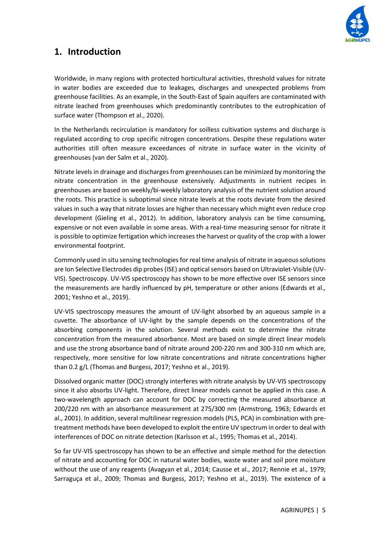

## <span id="page-4-0"></span>**1. Introduction**

Worldwide, in many regions with protected horticultural activities, threshold values for nitrate in water bodies are exceeded due to leakages, discharges and unexpected problems from greenhouse facilities. As an example, in the South-East of Spain aquifers are contaminated with nitrate leached from greenhouses which predominantly contributes to the eutrophication of surface water (Thompson et al., 2020).

In the Netherlands recirculation is mandatory for soilless cultivation systems and discharge is regulated according to crop specific nitrogen concentrations. Despite these regulations water authorities still often measure exceedances of nitrate in surface water in the vicinity of greenhouses (van der Salm et al., 2020).

Nitrate levels in drainage and discharges from greenhouses can be minimized by monitoring the nitrate concentration in the greenhouse extensively. Adjustments in nutrient recipes in greenhouses are based on weekly/bi-weekly laboratory analysis of the nutrient solution around the roots. This practice is suboptimal since nitrate levels at the roots deviate from the desired values in such a way that nitrate losses are higher than necessary which might even reduce crop development (Gieling et al., 2012). In addition, laboratory analysis can be time consuming, expensive or not even available in some areas. With a real-time measuring sensor for nitrate it is possible to optimize fertigation which increases the harvest or quality of the crop with a lower environmental footprint.

Commonly used in situ sensing technologies for real time analysis of nitrate in aqueous solutions are Ion Selective Electrodes dip probes (ISE) and optical sensors based on Ultraviolet-Visible (UV-VIS). Spectroscopy. UV-VIS spectroscopy has shown to be more effective over ISE sensors since the measurements are hardly influenced by pH, temperature or other anions (Edwards et al., 2001; Yeshno et al., 2019).

UV-VIS spectroscopy measures the amount of UV-light absorbed by an aqueous sample in a cuvette. The absorbance of UV-light by the sample depends on the concentrations of the absorbing components in the solution. Several methods exist to determine the nitrate concentration from the measured absorbance. Most are based on simple direct linear models and use the strong absorbance band of nitrate around 200-220 nm and 300-310 nm which are, respectively, more sensitive for low nitrate concentrations and nitrate concentrations higher than 0.2 g/L (Thomas and Burgess, 2017; Yeshno et al., 2019).

Dissolved organic matter (DOC) strongly interferes with nitrate analysis by UV-VIS spectroscopy since it also absorbs UV-light. Therefore, direct linear models cannot be applied in this case. A two-wavelength approach can account for DOC by correcting the measured absorbance at 200/220 nm with an absorbance measurement at 275/300 nm (Armstrong, 1963; Edwards et al., 2001). In addition, several multilinear regression models (PLS, PCA) in combination with pretreatment methods have been developed to exploit the entire UV spectrum in order to deal with interferences of DOC on nitrate detection (Karlsson et al., 1995; Thomas et al., 2014).

So far UV-VIS spectroscopy has shown to be an effective and simple method for the detection of nitrate and accounting for DOC in natural water bodies, waste water and soil pore moisture without the use of any reagents (Avagyan et al., 2014; Causse et al., 2017; Rennie et al., 1979; Sarraguça et al., 2009; Thomas and Burgess, 2017; Yeshno et al., 2019). The existence of a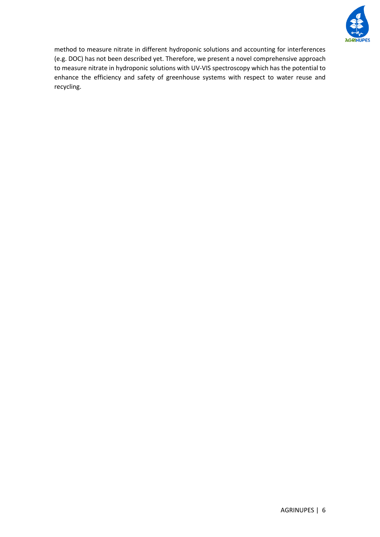

method to measure nitrate in different hydroponic solutions and accounting for interferences (e.g. DOC) has not been described yet. Therefore, we present a novel comprehensive approach to measure nitrate in hydroponic solutions with UV-VIS spectroscopy which has the potential to enhance the efficiency and safety of greenhouse systems with respect to water reuse and recycling.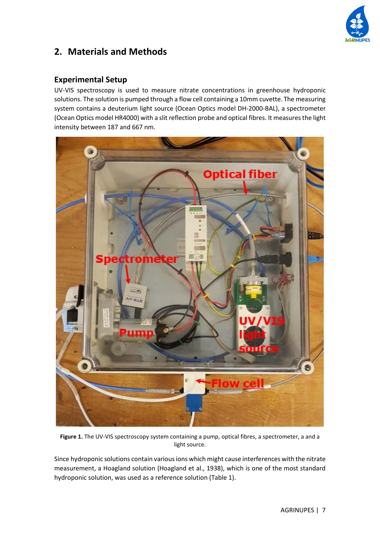

## <span id="page-6-0"></span>**2. Materials and Methods**

#### <span id="page-6-1"></span>**Experimental Setup**

UV-VIS spectroscopy is used to measure nitrate concentrations in greenhouse hydroponic solutions. The solution is pumped through a flow cell containing a 10mm cuvette. The measuring system contains a deuterium light source (Ocean Optics model DH-2000-BAL), a spectrometer (Ocean Optics model HR4000) with a slit reflection probe and optical fibres. It measures the light intensity between 187 and 667 nm.



**Figure 1.** The UV-VIS spectroscopy system containing a pump, optical fibres, a spectrometer, a and a light source.

<span id="page-6-2"></span>Since hydroponic solutions contain various ions which might cause interferences with the nitrate measurement, a Hoagland solution (Hoagland et al., 1938), which is one of the most standard hydroponic solution, was used as a reference solution (Table 1).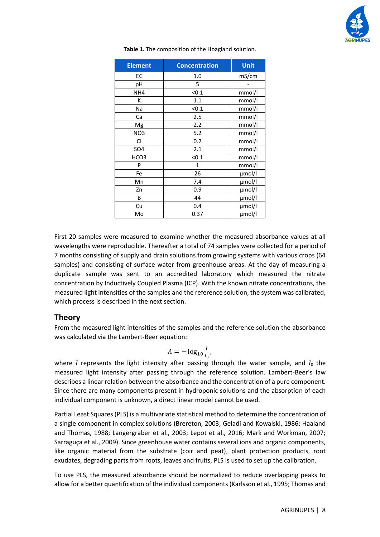

<span id="page-7-1"></span>

| <b>Element</b>  | <b>Concentration</b> | <b>Unit</b> |
|-----------------|----------------------|-------------|
| EС              | 1.0                  | mS/cm       |
| рH              | 5                    |             |
| NH <sub>4</sub> | < 0.1                | mmol/l      |
| К               | 1.1                  | mmol/l      |
| Na              | < 0.1                | mmol/l      |
| Ca              | 2.5                  | mmol/l      |
| Mg              | 2.2                  | mmol/l      |
| NO <sub>3</sub> | 5.2                  | mmol/l      |
| Cl              | 0.2                  | mmol/l      |
| <b>SO4</b>      | 2.1                  | mmol/l      |
| HCO3            | < 0.1                | mmol/l      |
| P               | $\mathbf{1}$         | mmol/l      |
| Fe              | 26                   | µmol/l      |
| Mn              | 7.4                  | µmol/l      |
| Zn              | 0.9                  | µmol/l      |
| B               | 44                   | µmol/l      |
| Cu              | 0.4                  | µmol/l      |
| Mo              | 0.37                 | µmol/l      |

**Table 1.** The composition of the Hoagland solution.

First 20 samples were measured to examine whether the measured absorbance values at all wavelengths were reproducible. Thereafter a total of 74 samples were collected for a period of 7 months consisting of supply and drain solutions from growing systems with various crops (64 samples) and consisting of surface water from greenhouse areas. At the day of measuring a duplicate sample was sent to an accredited laboratory which measured the nitrate concentration by Inductively Coupled Plasma (ICP). With the known nitrate concentrations, the measured light intensities of the samples and the reference solution, the system was calibrated, which process is described in the next section.

#### <span id="page-7-0"></span>**Theory**

From the measured light intensities of the samples and the reference solution the absorbance was calculated via the Lambert-Beer equation:

$$
A=-\log_{10}\frac{I}{I_0},
$$

where *I* represents the light intensity after passing through the water sample, and  $I_0$  the measured light intensity after passing through the reference solution. Lambert-Beer's law describes a linear relation between the absorbance and the concentration of a pure component. Since there are many components present in hydroponic solutions and the absorption of each individual component is unknown, a direct linear model cannot be used.

Partial Least Squares (PLS) is a multivariate statistical method to determine the concentration of a single component in complex solutions (Brereton, 2003; Geladi and Kowalski, 1986; Haaland and Thomas, 1988; Langergraber et al., 2003; Lepot et al., 2016; Mark and Workman, 2007; Sarraguça et al., 2009). Since greenhouse water contains several ions and organic components, like organic material from the substrate (coir and peat), plant protection products, root exudates, degrading parts from roots, leaves and fruits, PLS is used to set up the calibration.

To use PLS, the measured absorbance should be normalized to reduce overlapping peaks to allow for a better quantification of the individual components (Karlsson et al., 1995; Thomas and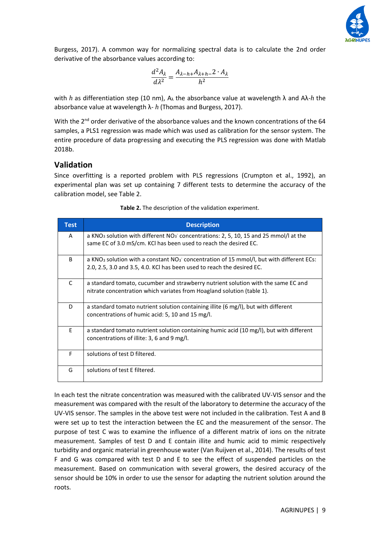

Burgess, 2017). A common way for normalizing spectral data is to calculate the 2nd order derivative of the absorbance values according to:

$$
\frac{d^2A_\lambda}{d\lambda^2} = \frac{A_{\lambda-h+}A_{\lambda+h-}2 \cdot A_\lambda}{h^2}
$$

with *h* as differentiation step (10 nm), A<sup>λ</sup> the absorbance value at wavelength λ and Aλ-*h* the absorbance value at wavelength λ- *h* (Thomas and Burgess, 2017).

With the 2<sup>nd</sup> order derivative of the absorbance values and the known concentrations of the 64 samples, a PLS1 regression was made which was used as calibration for the sensor system. The entire procedure of data progressing and executing the PLS regression was done with Matlab 2018b.

### <span id="page-8-0"></span>**Validation**

Since overfitting is a reported problem with PLS regressions (Crumpton et al., 1992), an experimental plan was set up containing 7 different tests to determine the accuracy of the calibration model, see Table 2.

| <b>Test</b> | <b>Description</b>                                                                                                                                                               |
|-------------|----------------------------------------------------------------------------------------------------------------------------------------------------------------------------------|
| A           | a KNO <sub>3</sub> solution with different $NO_3$ concentrations: 2, 5, 10, 15 and 25 mmol/l at the<br>same EC of 3.0 mS/cm. KCI has been used to reach the desired EC.          |
| B.          | a KNO <sub>3</sub> solution with a constant $NO_3$ concentration of 15 mmol/l, but with different ECs:<br>2.0, 2.5, 3.0 and 3.5, 4.0. KCI has been used to reach the desired EC. |
| C           | a standard tomato, cucumber and strawberry nutrient solution with the same EC and<br>nitrate concentration which variates from Hoagland solution (table 1).                      |
| D           | a standard tomato nutrient solution containing illite (6 mg/l), but with different<br>concentrations of humic acid: 5, 10 and 15 mg/l.                                           |
| E           | a standard tomato nutrient solution containing humic acid (10 mg/l), but with different<br>concentrations of illite: 3, 6 and 9 mg/l.                                            |
| F           | solutions of test D filtered.                                                                                                                                                    |
| G           | solutions of test E filtered.                                                                                                                                                    |

**Table 2.** The description of the validation experiment.

In each test the nitrate concentration was measured with the calibrated UV-VIS sensor and the measurement was compared with the result of the laboratory to determine the accuracy of the UV-VIS sensor. The samples in the above test were not included in the calibration. Test A and B were set up to test the interaction between the EC and the measurement of the sensor. The purpose of test C was to examine the influence of a different matrix of ions on the nitrate measurement. Samples of test D and E contain illite and humic acid to mimic respectively turbidity and organic material in greenhouse water (Van Ruijven et al., 2014). The results of test F and G was compared with test D and E to see the effect of suspended particles on the measurement. Based on communication with several growers, the desired accuracy of the sensor should be 10% in order to use the sensor for adapting the nutrient solution around the roots.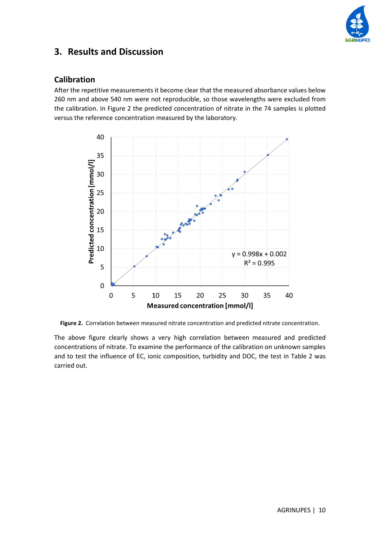

## <span id="page-9-0"></span>**3. Results and Discussion**

#### <span id="page-9-1"></span>**Calibration**

After the repetitive measurements it become clear that the measured absorbance values below 260 nm and above 540 nm were not reproducible, so those wavelengths were excluded from the calibration. In Figure 2 the predicted concentration of nitrate in the 74 samples is plotted versus the reference concentration measured by the laboratory.



**Figure 2.** Correlation between measured nitrate concentration and predicted nitrate concentration.

The above figure clearly shows a very high correlation between measured and predicted concentrations of nitrate. To examine the performance of the calibration on unknown samples and to test the influence of EC, ionic composition, turbidity and DOC, the test in Table 2 was carried out.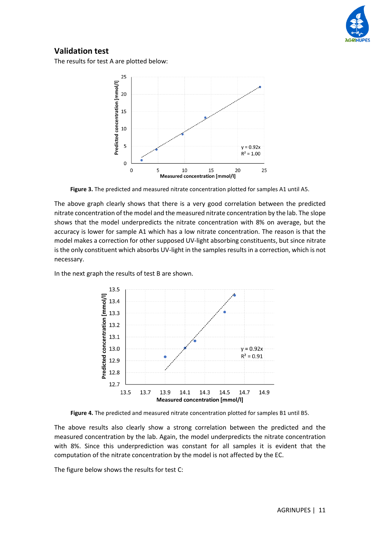

## <span id="page-10-0"></span>**Validation test**

The results for test A are plotted below:



**Figure 3.** The predicted and measured nitrate concentration plotted for samples A1 until A5.

The above graph clearly shows that there is a very good correlation between the predicted nitrate concentration of the model and the measured nitrate concentration by the lab. The slope shows that the model underpredicts the nitrate concentration with 8% on average, but the accuracy is lower for sample A1 which has a low nitrate concentration. The reason is that the model makes a correction for other supposed UV-light absorbing constituents, but since nitrate is the only constituent which absorbs UV-light in the samples results in a correction, which is not necessary.

In the next graph the results of test B are shown.



**Figure 4.** The predicted and measured nitrate concentration plotted for samples B1 until B5.

The above results also clearly show a strong correlation between the predicted and the measured concentration by the lab. Again, the model underpredicts the nitrate concentration with 8%. Since this underprediction was constant for all samples it is evident that the computation of the nitrate concentration by the model is not affected by the EC.

The figure below shows the results for test C: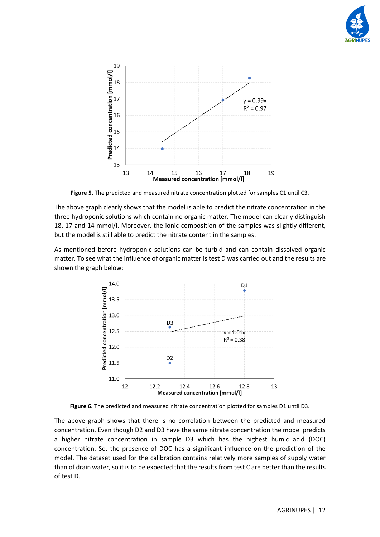



**Figure 5.** The predicted and measured nitrate concentration plotted for samples C1 until C3.

The above graph clearly shows that the model is able to predict the nitrate concentration in the three hydroponic solutions which contain no organic matter. The model can clearly distinguish 18, 17 and 14 mmol/l. Moreover, the ionic composition of the samples was slightly different, but the model is still able to predict the nitrate content in the samples.

As mentioned before hydroponic solutions can be turbid and can contain dissolved organic matter. To see what the influence of organic matter is test D was carried out and the results are shown the graph below:



**Figure 6.** The predicted and measured nitrate concentration plotted for samples D1 until D3.

The above graph shows that there is no correlation between the predicted and measured concentration. Even though D2 and D3 have the same nitrate concentration the model predicts a higher nitrate concentration in sample D3 which has the highest humic acid (DOC) concentration. So, the presence of DOC has a significant influence on the prediction of the model. The dataset used for the calibration contains relatively more samples of supply water than of drain water, so it is to be expected that the results from test C are better than the results of test D.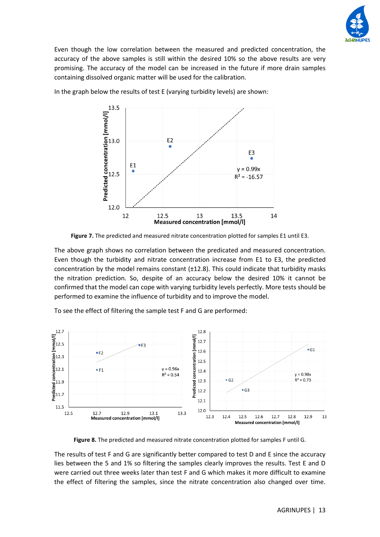

Even though the low correlation between the measured and predicted concentration, the accuracy of the above samples is still within the desired 10% so the above results are very promising. The accuracy of the model can be increased in the future if more drain samples containing dissolved organic matter will be used for the calibration.



In the graph below the results of test E (varying turbidity levels) are shown:

**Figure 7.** The predicted and measured nitrate concentration plotted for samples E1 until E3.

The above graph shows no correlation between the predicated and measured concentration. Even though the turbidity and nitrate concentration increase from E1 to E3, the predicted concentration by the model remains constant (±12.8). This could indicate that turbidity masks the nitration prediction. So, despite of an accuracy below the desired 10% it cannot be confirmed that the model can cope with varying turbidity levels perfectly. More tests should be performed to examine the influence of turbidity and to improve the model.

To see the effect of filtering the sample test F and G are performed:



**Figure 8.** The predicted and measured nitrate concentration plotted for samples F until G.

The results of test F and G are significantly better compared to test D and E since the accuracy lies between the 5 and 1% so filtering the samples clearly improves the results. Test E and D were carried out three weeks later than test F and G which makes it more difficult to examine the effect of filtering the samples, since the nitrate concentration also changed over time.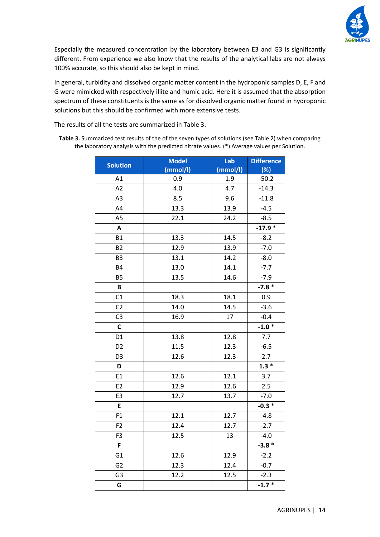

Especially the measured concentration by the laboratory between E3 and G3 is significantly different. From experience we also know that the results of the analytical labs are not always 100% accurate, so this should also be kept in mind.

In general, turbidity and dissolved organic matter content in the hydroponic samples D, E, F and G were mimicked with respectively illite and humic acid. Here it is assumed that the absorption spectrum of these constituents is the same as for dissolved organic matter found in hydroponic solutions but this should be confirmed with more extensive tests.

The results of all the tests are summarized in Table 3.

**Table 3.** Summarized test results of the of the seven types of solutions (see Table 2) when comparing the laboratory analysis with the predicted nitrate values. (\*) Average values per Solution.

| <b>Solution</b> | <b>Model</b> | Lab      | <b>Difference</b> |
|-----------------|--------------|----------|-------------------|
|                 | (mmol/l)     | (mmol/l) | (%)               |
| A1              | 0.9          | 1.9      | $-50.2$           |
| A2              | 4.0          | 4.7      | $-14.3$           |
| A3              | 8.5          | 9.6      | $-11.8$           |
| A4              | 13.3         | 13.9     | $-4.5$            |
| A <sub>5</sub>  | 22.1         | 24.2     | $-8.5$            |
| Α               |              |          | $-17.9*$          |
| <b>B1</b>       | 13.3         | 14.5     | $-8.2$            |
| <b>B2</b>       | 12.9         | 13.9     | $-7.0$            |
| B <sub>3</sub>  | 13.1         | 14.2     | $-8.0$            |
| B4              | 13.0         | 14.1     | $-7.7$            |
| <b>B5</b>       | 13.5         | 14.6     | $-7.9$            |
| B               |              |          | $-7.8*$           |
| C1              | 18.3         | 18.1     | 0.9               |
| C <sub>2</sub>  | 14.0         | 14.5     | $-3.6$            |
| C <sub>3</sub>  | 16.9         | 17       | $-0.4$            |
| $\mathsf{C}$    |              |          | $-1.0*$           |
| D <sub>1</sub>  | 13.8         | 12.8     | 7.7               |
| D <sub>2</sub>  | 11.5         | 12.3     | $-6.5$            |
| D <sub>3</sub>  | 12.6         | 12.3     | 2.7               |
| D               |              |          | $1.3*$            |
| E1              | 12.6         | 12.1     | 3.7               |
| E <sub>2</sub>  | 12.9         | 12.6     | 2.5               |
| E3              | 12.7         | 13.7     | $-7.0$            |
| E               |              |          | $-0.3 *$          |
| F1              | 12.1         | 12.7     | $-4.8$            |
| F <sub>2</sub>  | 12.4         | 12.7     | $-2.7$            |
| F <sub>3</sub>  | 12.5         | 13       | $-4.0$            |
| F               |              |          | $-3.8*$           |
| G <sub>1</sub>  | 12.6         | 12.9     | $-2.2$            |
| G <sub>2</sub>  | 12.3         | 12.4     | $-0.7$            |
| G3              | 12.2         | 12.5     | $-2.3$            |
| G               |              |          | $-1.7*$           |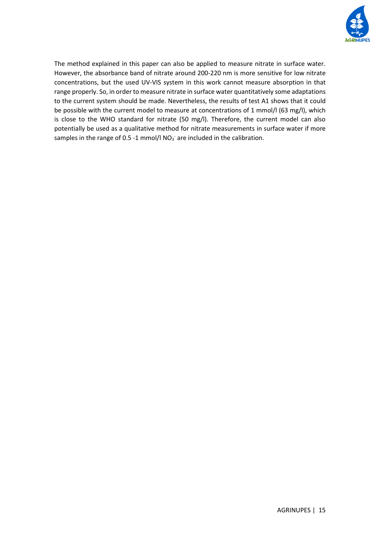

The method explained in this paper can also be applied to measure nitrate in surface water. However, the absorbance band of nitrate around 200-220 nm is more sensitive for low nitrate concentrations, but the used UV-VIS system in this work cannot measure absorption in that range properly. So, in order to measure nitrate in surface water quantitatively some adaptations to the current system should be made. Nevertheless, the results of test A1 shows that it could be possible with the current model to measure at concentrations of 1 mmol/l (63 mg/l), which is close to the WHO standard for nitrate (50 mg/l). Therefore, the current model can also potentially be used as a qualitative method for nitrate measurements in surface water if more samples in the range of 0.5 -1 mmol/l  $NO<sub>3</sub>$  are included in the calibration.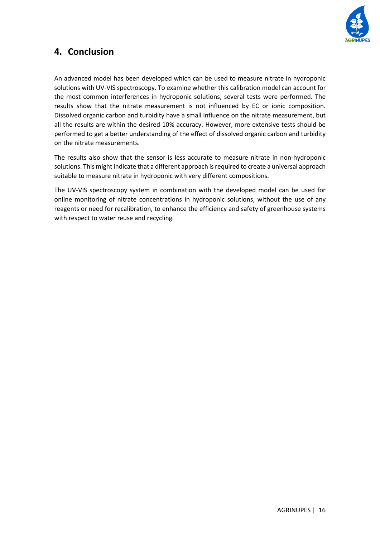

## <span id="page-15-0"></span>**4. Conclusion**

An advanced model has been developed which can be used to measure nitrate in hydroponic solutions with UV-VIS spectroscopy. To examine whether this calibration model can account for the most common interferences in hydroponic solutions, several tests were performed. The results show that the nitrate measurement is not influenced by EC or ionic composition. Dissolved organic carbon and turbidity have a small influence on the nitrate measurement, but all the results are within the desired 10% accuracy. However, more extensive tests should be performed to get a better understanding of the effect of dissolved organic carbon and turbidity on the nitrate measurements.

The results also show that the sensor is less accurate to measure nitrate in non-hydroponic solutions. This might indicate that a different approach is required to create a universal approach suitable to measure nitrate in hydroponic with very different compositions.

The UV-VIS spectroscopy system in combination with the developed model can be used for online monitoring of nitrate concentrations in hydroponic solutions, without the use of any reagents or need for recalibration, to enhance the efficiency and safety of greenhouse systems with respect to water reuse and recycling.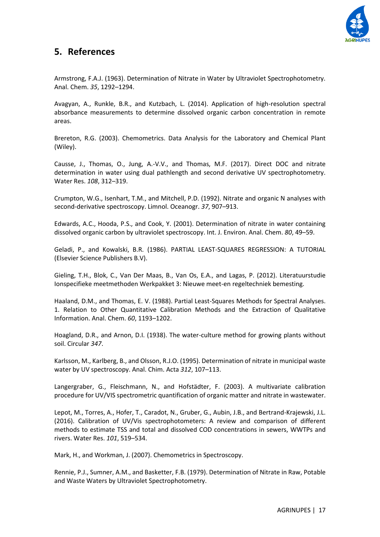

## <span id="page-16-0"></span>**5. References**

Armstrong, F.A.J. (1963). Determination of Nitrate in Water by Ultraviolet Spectrophotometry. Anal. Chem. *35*, 1292–1294.

Avagyan, A., Runkle, B.R., and Kutzbach, L. (2014). Application of high-resolution spectral absorbance measurements to determine dissolved organic carbon concentration in remote areas.

Brereton, R.G. (2003). Chemometrics. Data Analysis for the Laboratory and Chemical Plant (Wiley).

Causse, J., Thomas, O., Jung, A.-V.V., and Thomas, M.F. (2017). Direct DOC and nitrate determination in water using dual pathlength and second derivative UV spectrophotometry. Water Res. *108*, 312–319.

Crumpton, W.G., Isenhart, T.M., and Mitchell, P.D. (1992). Nitrate and organic N analyses with second‐derivative spectroscopy. Limnol. Oceanogr. *37*, 907–913.

Edwards, A.C., Hooda, P.S., and Cook, Y. (2001). Determination of nitrate in water containing dissolved organic carbon by ultraviolet spectroscopy. Int. J. Environ. Anal. Chem. *80*, 49–59.

Geladi, P., and Kowalski, B.R. (1986). PARTIAL LEAST-SQUARES REGRESSION: A TUTORIAL (Elsevier Science Publishers B.V).

Gieling, T.H., Blok, C., Van Der Maas, B., Van Os, E.A., and Lagas, P. (2012). Literatuurstudie Ionspecifieke meetmethoden Werkpakket 3: Nieuwe meet-en regeltechniek bemesting.

Haaland, D.M., and Thomas, E. V. (1988). Partial Least-Squares Methods for Spectral Analyses. 1. Relation to Other Quantitative Calibration Methods and the Extraction of Qualitative Information. Anal. Chem. *60*, 1193–1202.

Hoagland, D.R., and Arnon, D.I. (1938). The water-culture method for growing plants without soil. Circular *347*.

Karlsson, M., Karlberg, B., and Olsson, R.J.O. (1995). Determination of nitrate in municipal waste water by UV spectroscopy. Anal. Chim. Acta *312*, 107–113.

Langergraber, G., Fleischmann, N., and Hofstädter, F. (2003). A multivariate calibration procedure for UV/VIS spectrometric quantification of organic matter and nitrate in wastewater.

Lepot, M., Torres, A., Hofer, T., Caradot, N., Gruber, G., Aubin, J.B., and Bertrand-Krajewski, J.L. (2016). Calibration of UV/Vis spectrophotometers: A review and comparison of different methods to estimate TSS and total and dissolved COD concentrations in sewers, WWTPs and rivers. Water Res. *101*, 519–534.

Mark, H., and Workman, J. (2007). Chemometrics in Spectroscopy.

Rennie, P.J., Sumner, A.M., and Basketter, F.B. (1979). Determination of Nitrate in Raw, Potable and Waste Waters by Ultraviolet Spectrophotometry.